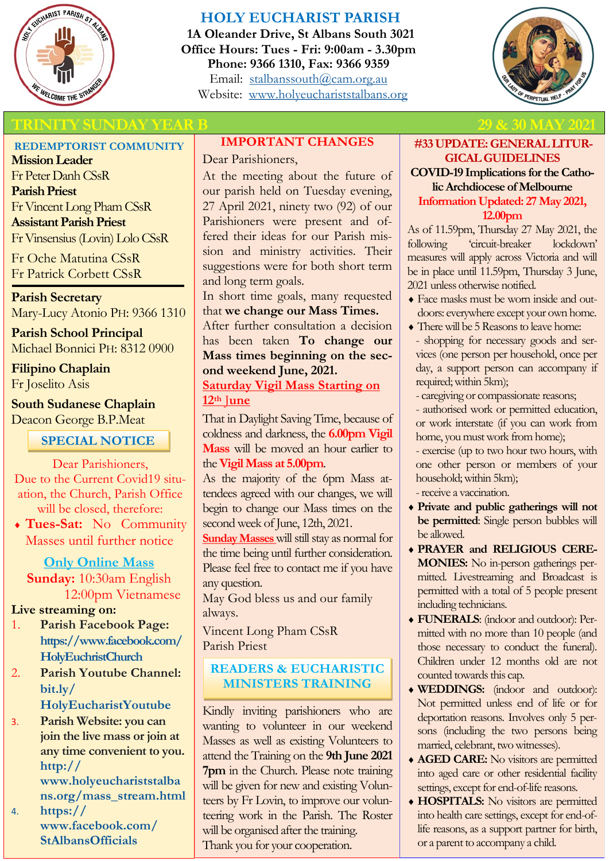

# **HOLY EUCHARIST PARISH**

**1A Oleander Drive, St Albans South 3021 Office Hours: Tues - Fri: 9:00am - 3.30pm Phone: 9366 1310, Fax: 9366 9359** Email: [stalbanssouth@cam.org.au](mailto:stalbanssouth@cam.org.au) Website:[www.holyeuchariststalbans.org](http://www.holyeuchariststalbans.org)



# **TRINITY SUNDAY YEAR B 29 & 30 MAY 2021**

### **REDEMPTORIST COMMUNITY**

**Mission Leader** Fr Peter Danh CSsR **Parish Priest** Fr Vincent Long Pham CSsR **Assistant Parish Priest**  Fr Vinsensius (Lovin) Lolo CSsR

Fr Oche Matutina CSsR Fr Patrick Corbett CSsR

**Parish Secretary** Mary-Lucy Atonio PH: 9366 1310

**Parish School Principal** Michael Bonnici PH: 8312 0900

**Filipino Chaplain** Fr Joselito Asis

**South Sudanese Chaplain** Deacon George B.P.Meat

### **SPECIAL NOTICE**

Dear Parishioners, Due to the Current Covid19 situation, the Church, Parish Office will be closed, therefore:

 **Tues-Sat:** No Community Masses until further notice

**Only Online Mass Sunday:** 10:30am English 12:00pm Vietnamese

### **Live streaming on:**

- 1. **Parish Facebook Page: [https://www.facebook.com/](https://www.facebook.com/HolyEuchristChurch/?__tn__=K-R&eid=ARBM1QrYxFY6RPMk7pERebh2rQRHf74BlaLd1VcjGGtCaP9p84rIk0c98hlhTEr82Q8jETXCJzOvL0kn&fref=mentions&__xts__%5B0%5D=68.ARBnHs6a1u-PF7J9Jcl_gNh_UT2uNyd1RzKvVIxqP8JzHkM3mTr_xfPeZKpg_v-bgja9SqrtiUyctIDnpdXH1N) [HolyEuchristChurch](https://www.facebook.com/HolyEuchristChurch/?__tn__=K-R&eid=ARBM1QrYxFY6RPMk7pERebh2rQRHf74BlaLd1VcjGGtCaP9p84rIk0c98hlhTEr82Q8jETXCJzOvL0kn&fref=mentions&__xts__%5B0%5D=68.ARBnHs6a1u-PF7J9Jcl_gNh_UT2uNyd1RzKvVIxqP8JzHkM3mTr_xfPeZKpg_v-bgja9SqrtiUyctIDnpdXH1N)**
- 2. **Parish Youtube Channel: [bit.ly/](https://l.facebook.com/l.php?u=https%3A%2F%2Fbit.ly%2FHolyEucharistYoutube%3Ffbclid%3DIwAR1cGDfikzYYKJZ4dYLy-9rZhJ7KsRBJONaEedDSgkMRNh6TobJ8QUU4yeQ&h=AT0MTGTPajxp8qiWg-vh0o_edX_2SfHvTlywmwjyBRAEyuwRvvoZiBjaPOpf0K_qzP_AOcFh7amNGz1-vsteTHW96AN6EjapGtwtWhmuoQDjs)**

**[HolyEucharistYoutube](https://l.facebook.com/l.php?u=https%3A%2F%2Fbit.ly%2FHolyEucharistYoutube%3Ffbclid%3DIwAR1cGDfikzYYKJZ4dYLy-9rZhJ7KsRBJONaEedDSgkMRNh6TobJ8QUU4yeQ&h=AT0MTGTPajxp8qiWg-vh0o_edX_2SfHvTlywmwjyBRAEyuwRvvoZiBjaPOpf0K_qzP_AOcFh7amNGz1-vsteTHW96AN6EjapGtwtWhmuoQDjs)**

3. **Parish Website: you can join the live mass or join at any time convenient to you. [http://](http://www.holyeuchariststalbans.org/mass_stream.html)**

**[www.holyeuchariststalba](http://www.holyeuchariststalbans.org/mass_stream.html) [ns.org/mass\\_stream.html](http://www.holyeuchariststalbans.org/mass_stream.html)**

4. **https:// www.facebook.com/ StAlbansOfficials**

## **IMPORTANT CHANGES**

Dear Parishioners,

At the meeting about the future of our parish held on Tuesday evening, 27 April 2021, ninety two (92) of our Parishioners were present and offered their ideas for our Parish mission and ministry activities. Their suggestions were for both short term and long term goals.

In short time goals, many requested that **we change our Mass Times.**

After further consultation a decision has been taken **To change our Mass times beginning on the second weekend June, 2021.**

**Saturday Vigil Mass Starting on 12th** J**une**

That in Daylight Saving Time, because of coldness and darkness, the **6.00pm Vigil Mass** will be moved an hour earlier to the **Vigil Mass at 5.00pm**.

As the majority of the 6pm Mass attendees agreed with our changes, we will begin to change our Mass times on the second week of June, 12th, 2021.

**Sunday Masses** will still stay as normal for the time being until further consideration. Please feel free to contact me if you have any question.

May God bless us and our family always.

Vincent Long Pham CSsR Parish Priest

### **READERS & EUCHARISTIC MINISTERS TRAINING**

Kindly inviting parishioners who are wanting to volunteer in our weekend Masses as well as existing Volunteers to attend the Training on the **9th June 2021 7pm** in the Church. Please note training will be given for new and existing Volunteers by Fr Lovin, to improve our volunteering work in the Parish. The Roster will be organised after the training. Thank you for your cooperation.

### **#33 UPDATE: GENERAL LITUR-GICAL GUIDELINES**

### **COVID-19 Implications for the Catholic Archdiocese of Melbourne Information Updated: 27 May 2021, 12.00pm**

As of 11.59pm, Thursday 27 May 2021, the following 'circuit-breaker lockdown' measures will apply across Victoria and will be in place until 11.59pm, Thursday 3 June, 2021 unless otherwise notified.

- Face masks must be worn inside and outdoors: everywhere except your own home.
- There will be 5 Reasons to leave home: - shopping for necessary goods and services (one person per household, once per day, a support person can accompany if required; within 5km);
	- caregiving or compassionate reasons;
	- authorised work or permitted education, or work interstate (if you can work from home, you must work from home);

- exercise (up to two hour two hours, with one other person or members of your household; within 5km);

- -receive a vaccination.
- **Private and public gatherings will not be permitted**: Single person bubbles will be allowed.
- **PRAYER and RELIGIOUS CERE-MONIES:** No in-person gatherings permitted. Livestreaming and Broadcast is permitted with a total of 5 people present including technicians.
- **FUNERALS**: (indoor and outdoor): Permitted with no more than 10 people (and those necessary to conduct the funeral). Children under 12 months old are not counted towards this cap.
- **WEDDINGS:** (indoor and outdoor): Not permitted unless end of life or for deportation reasons. Involves only 5 persons (including the two persons being married, celebrant, two witnesses).
- **AGED CARE:** No visitors are permitted into aged care or other residential facility settings, except for end-of-life reasons.
- **HOSPITALS:** No visitors are permitted into health care settings, except for end-oflife reasons, as a support partner for birth, or a parent to accompany a child.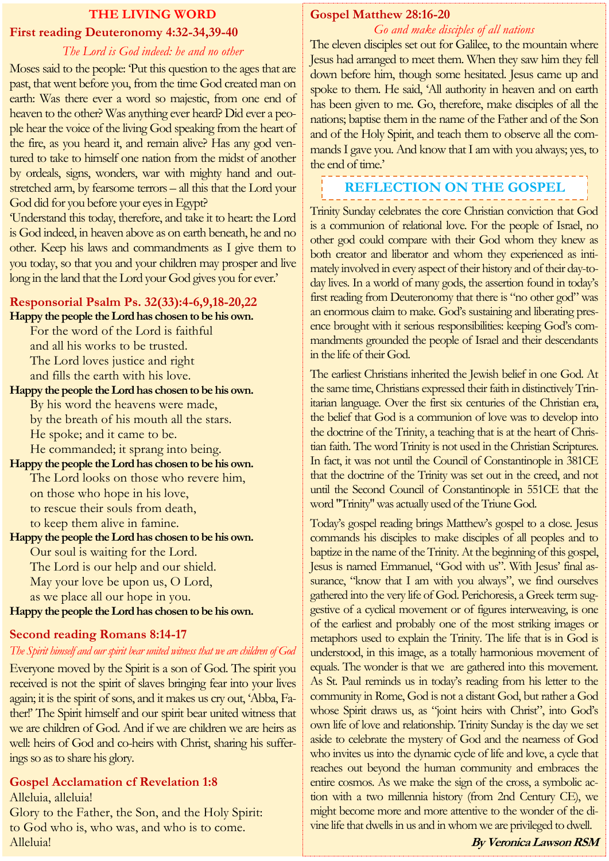## **THE LIVING WORD**

### **First reading Deuteronomy 4:32-34,39-40**

#### *The Lord is God indeed: he and no other*

Moses said to the people: 'Put this question to the ages that are past, that went before you, from the time God created man on earth: Was there ever a word so majestic, from one end of heaven to the other? Was anything ever heard? Did ever a people hear the voice of the living God speaking from the heart of the fire, as you heard it, and remain alive? Has any god ventured to take to himself one nation from the midst of another by ordeals, signs, wonders, war with mighty hand and outstretched arm, by fearsome terrors – all this that the Lord your God did for you before your eyes in Egypt?

'Understand this today, therefore, and take it to heart: the Lord is God indeed, in heaven above as on earth beneath, he and no other. Keep his laws and commandments as I give them to you today, so that you and your children may prosper and live long in the land that the Lord your God gives you for ever.'

#### **Responsorial Psalm Ps. 32(33):4-6,9,18-20,22**

**Happy the people the Lord has chosen to be his own.** For the word of the Lord is faithful and all his works to be trusted. The Lord loves justice and right and fills the earth with his love.

**Happy the people the Lord has chosen to be his own.** By his word the heavens were made, by the breath of his mouth all the stars. He spoke; and it came to be. He commanded; it sprang into being.

**Happy the people the Lord has chosen to be his own.** The Lord looks on those who revere him, on those who hope in his love, to rescue their souls from death, to keep them alive in famine.

**Happy the people the Lord has chosen to be his own.** Our soul is waiting for the Lord. The Lord is our help and our shield. May your love be upon us, O Lord, as we place all our hope in you.

### **Happy the people the Lord has chosen to be his own.**

### **Second reading Romans 8:14-17**

#### *The Spirit himself and our spirit bear united witness that we are children of God*

Everyone moved by the Spirit is a son of God. The spirit you received is not the spirit of slaves bringing fear into your lives again; it is the spirit of sons, and it makes us cry out, 'Abba, Father!' The Spirit himself and our spirit bear united witness that we are children of God. And if we are children we are heirs as well: heirs of God and co-heirs with Christ, sharing his sufferings so as to share his glory.

#### **Gospel Acclamation cf Revelation 1:8**

Alleluia, alleluia! Glory to the Father, the Son, and the Holy Spirit: to God who is, who was, and who is to come. Alleluia!

## **Gospel Matthew 28:16-20**

### *Go and make disciples of all nations*

The eleven disciples set out for Galilee, to the mountain where Jesus had arranged to meet them. When they saw him they fell down before him, though some hesitated. Jesus came up and spoke to them. He said, 'All authority in heaven and on earth has been given to me. Go, therefore, make disciples of all the nations; baptise them in the name of the Father and of the Son and of the Holy Spirit, and teach them to observe all the commands I gave you. And know that I am with you always; yes, to the end of time.'

## **REFLECTION ON THE GOSPEL**

Trinity Sunday celebrates the core Christian conviction that God is a communion of relational love. For the people of Israel, no other god could compare with their God whom they knew as both creator and liberator and whom they experienced as intimately involved in every aspect of their history and of their day-today lives. In a world of many gods, the assertion found in today's first reading from Deuteronomy that there is "no other god" was an enormous claim to make. God's sustaining and liberating presence brought with it serious responsibilities: keeping God's commandments grounded the people of Israel and their descendants in the life of their God.

The earliest Christians inherited the Jewish belief in one God. At the same time, Christians expressed their faith in distinctively Trinitarian language. Over the first six centuries of the Christian era, the belief that God is a communion of love was to develop into the doctrine of the Trinity, a teaching that is at the heart of Christian faith. The word Trinity is not used in the Christian Scriptures. In fact, it was not until the Council of Constantinople in 381CE that the doctrine of the Trinity was set out in the creed, and not until the Second Council of Constantinople in 551CE that the word "Trinity" was actually used of the Triune God.

Today's gospel reading brings Matthew's gospel to a close. Jesus commands his disciples to make disciples of all peoples and to baptize in the name of the Trinity. At the beginning of this gospel, Jesus is named Emmanuel, "God with us". With Jesus' final assurance, "know that I am with you always", we find ourselves gathered into the very life of God. Perichoresis, a Greek term suggestive of a cyclical movement or of figures interweaving, is one of the earliest and probably one of the most striking images or metaphors used to explain the Trinity. The life that is in God is understood, in this image, as a totally harmonious movement of equals. The wonder is that we are gathered into this movement. As St. Paul reminds us in today's reading from his letter to the community in Rome, God is not a distant God, but rather a God whose Spirit draws us, as "joint heirs with Christ", into God's own life of love and relationship. Trinity Sunday is the day we set aside to celebrate the mystery of God and the nearness of God who invites us into the dynamic cycle of life and love, a cycle that reaches out beyond the human community and embraces the entire cosmos. As we make the sign of the cross, a symbolic action with a two millennia history (from 2nd Century CE), we might become more and more attentive to the wonder of the divine life that dwells in us and in whom we are privileged to dwell.

#### **By Veronica Lawson RSM**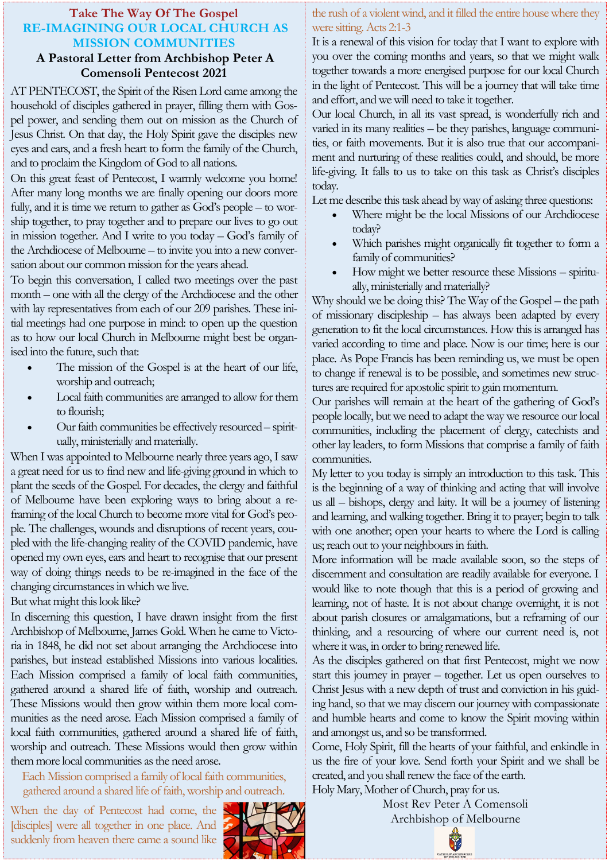### **Take The Way Of The Gospel RE-IMAGINING OUR LOCAL CHURCH AS MISSION COMMUNITIES**

### **A Pastoral Letter from Archbishop Peter A Comensoli Pentecost 2021**

AT PENTECOST, the Spirit of the Risen Lord came among the household of disciples gathered in prayer, filling them with Gospel power, and sending them out on mission as the Church of Jesus Christ. On that day, the Holy Spirit gave the disciples new eyes and ears, and a fresh heart to form the family of the Church, and to proclaim the Kingdom of God to all nations.

On this great feast of Pentecost, I warmly welcome you home! After many long months we are finally opening our doors more fully, and it is time we return to gather as God's people – to worship together, to pray together and to prepare our lives to go out in mission together. And I write to you today – God's family of the Archdiocese of Melbourne – to invite you into a new conversation about our common mission for the years ahead.

To begin this conversation, I called two meetings over the past month – one with all the clergy of the Archdiocese and the other with lay representatives from each of our 209 parishes. These initial meetings had one purpose in mind: to open up the question as to how our local Church in Melbourne might best be organised into the future, such that:

- The mission of the Gospel is at the heart of our life, worship and outreach;
- Local faith communities are arranged to allow for them to flourish;
- Our faith communities be effectively resourced spiritually, ministerially and materially.

When I was appointed to Melbourne nearly three years ago, I saw a great need for us to find new and life-giving ground in which to plant the seeds of the Gospel. For decades, the clergy and faithful of Melbourne have been exploring ways to bring about a reframing of the local Church to become more vital for God's people. The challenges, wounds and disruptions of recent years, coupled with the life-changing reality of the COVID pandemic, have opened my own eyes, ears and heart to recognise that our present way of doing things needs to be re-imagined in the face of the changing circumstances in which we live.

But what might this look like?

In discerning this question, I have drawn insight from the first Archbishop of Melbourne, James Gold. When he came to Victoria in 1848, he did not set about arranging the Archdiocese into parishes, but instead established Missions into various localities. Each Mission comprised a family of local faith communities, gathered around a shared life of faith, worship and outreach. These Missions would then grow within them more local communities as the need arose. Each Mission comprised a family of local faith communities, gathered around a shared life of faith, worship and outreach. These Missions would then grow within them more local communities as the need arose.

Each Mission comprised a family of local faith communities, gathered around a shared life of faith, worship and outreach.

When the day of Pentecost had come, the [disciples] were all together in one place. And suddenly from heaven there came a sound like



the rush of a violent wind, and it filled the entire house where they were sitting. Acts 2:1-3

It is a renewal of this vision for today that I want to explore with you over the coming months and years, so that we might walk together towards a more energised purpose for our local Church in the light of Pentecost. This will be a journey that will take time and effort, and we will need to take it together.

Our local Church, in all its vast spread, is wonderfully rich and varied in its many realities – be they parishes, language communities, or faith movements. But it is also true that our accompaniment and nurturing of these realities could, and should, be more life-giving. It falls to us to take on this task as Christ's disciples today.

Let me describe this task ahead by way of asking three questions:

- Where might be the local Missions of our Archdiocese today?
- Which parishes might organically fit together to form a family of communities?
- How might we better resource these Missions spiritually, ministerially and materially?

Why should we be doing this? The Way of the Gospel – the path of missionary discipleship – has always been adapted by every generation to fit the local circumstances. How this is arranged has varied according to time and place. Now is our time; here is our place. As Pope Francis has been reminding us, we must be open to change if renewal is to be possible, and sometimes new structures are required for apostolic spirit to gain momentum.

Our parishes will remain at the heart of the gathering of God's people locally, but we need to adapt the way we resource our local communities, including the placement of clergy, catechists and other lay leaders, to form Missions that comprise a family of faith communities.

My letter to you today is simply an introduction to this task. This is the beginning of a way of thinking and acting that will involve us all – bishops, clergy and laity. It will be a journey of listening and learning, and walking together. Bring it to prayer; begin to talk with one another; open your hearts to where the Lord is calling us; reach out to your neighbours in faith.

More information will be made available soon, so the steps of discernment and consultation are readily available for everyone. I would like to note though that this is a period of growing and learning, not of haste. It is not about change overnight, it is not about parish closures or amalgamations, but a reframing of our thinking, and a resourcing of where our current need is, not where it was, in order to bring renewed life.

As the disciples gathered on that first Pentecost, might we now start this journey in prayer – together. Let us open ourselves to Christ Jesus with a new depth of trust and conviction in his guiding hand, so that we may discern our journey with compassionate and humble hearts and come to know the Spirit moving within and amongst us, and so be transformed.

Come, Holy Spirit, fill the hearts of your faithful, and enkindle in us the fire of your love. Send forth your Spirit and we shall be created, and you shall renew the face of the earth. Holy Mary, Mother of Church, pray for us.

Most Rev Peter A Comensoli Archbishop of Melbourne

Ŵ